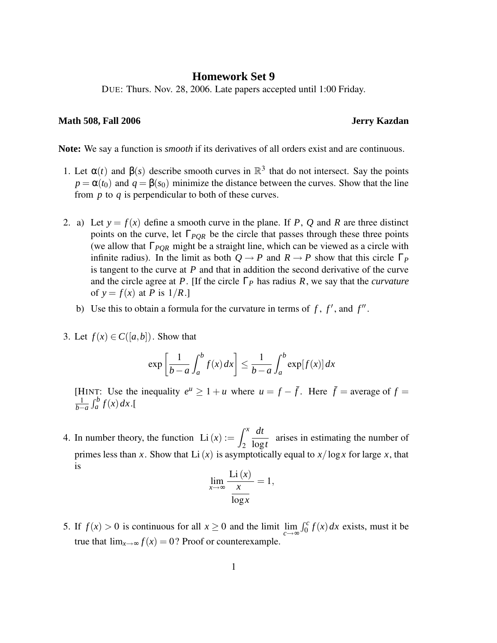## **Homework Set 9**

DUE: Thurs. Nov. 28, 2006. Late papers accepted until 1:00 Friday.

## **Math 508, Fall 2006 Jerry Kazdan**

**Note:** We say a function is *smooth* if its derivatives of all orders exist and are continuous.

- 1. Let  $\alpha(t)$  and  $\beta(s)$  describe smooth curves in  $\mathbb{R}^3$  that do not intersect. Say the points  $p = \alpha(t_0)$  and  $q = \beta(s_0)$  minimize the distance between the curves. Show that the line from *p* to *q* is perpendicular to both of these curves.
- 2. a) Let  $y = f(x)$  define a smooth curve in the plane. If P, Q and R are three distinct points on the curve, let Γ*PQR* be the circle that passes through these three points (we allow that Γ*PQR* might be a straight line, which can be viewed as a circle with infinite radius). In the limit as both  $Q \rightarrow P$  and  $R \rightarrow P$  show that this circle  $\Gamma_P$ is tangent to the curve at *P* and that in addition the second derivative of the curve and the circle agree at *P*. [If the circle Γ*<sup>P</sup>* has radius *R*, we say that the *curvature* of  $y = f(x)$  at *P* is  $1/R$ .]
	- b) Use this to obtain a formula for the curvature in terms of  $f$ ,  $f'$ , and  $f''$ .
- 3. Let  $f(x) \in C([a, b])$ . Show that

$$
\exp\left[\frac{1}{b-a}\int_{a}^{b}f(x)dx\right] \leq \frac{1}{b-a}\int_{a}^{b}\exp[f(x)]dx
$$

[HINT: Use the inequality  $e^u \geq 1 + u$  where  $u = f - \bar{f}$ . Here  $\bar{f} =$  average of  $f =$ 1  $\frac{1}{b-a} \int_a^b f(x) dx$ .[

4. In number theory, the function  $Li(x) := \int^x$ 2 *dt* log*t* arises in estimating the number of primes less than *x*. Show that Li(*x*) is asymptotically equal to  $x/\log x$  for large *x*, that is

$$
\lim_{x \to \infty} \frac{\text{Li}(x)}{\frac{x}{\log x}} = 1,
$$

5. If  $f(x) > 0$  is continuous for all  $x \ge 0$  and the limit  $\lim_{c \to \infty} \int_0^c f(x) dx$  exists, must it be true that  $\lim_{x\to\infty} f(x) = 0$ ? Proof or counterexample.